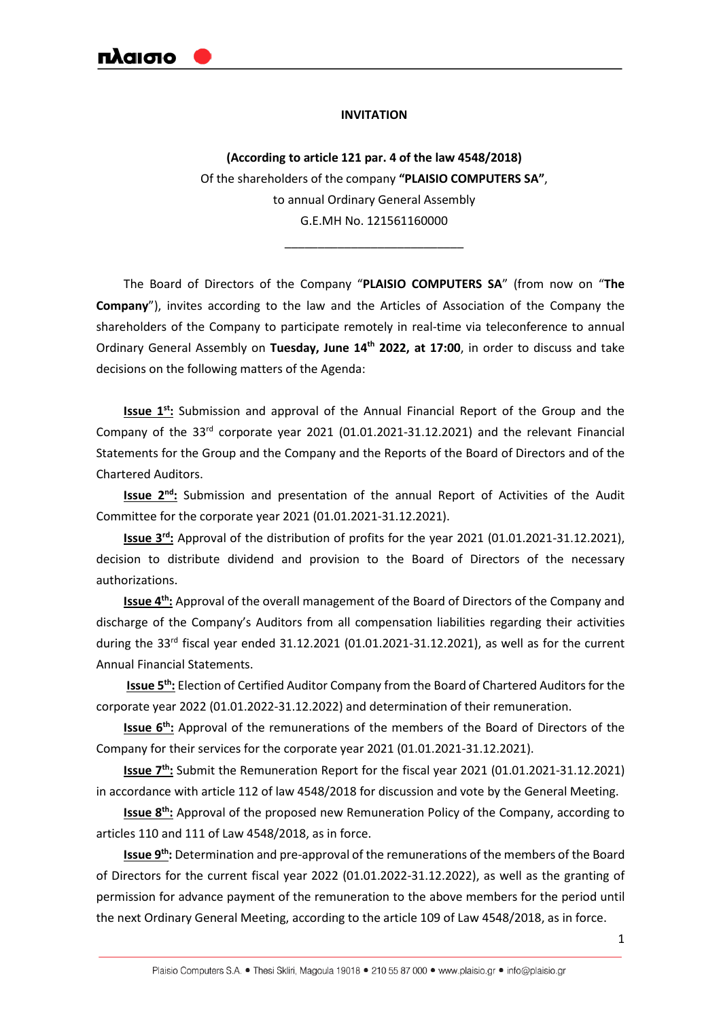laima

#### **INVITATION**

**(According to article 121 par. 4 of the law 4548/2018)** Of the shareholders of the company **"PLAISIO COMPUTERS SA"**, to annual Ordinary General Assembly G.E.MH No. 121561160000

\_\_\_\_\_\_\_\_\_\_\_\_\_\_\_\_\_\_\_\_\_\_\_\_\_\_\_

The Board of Directors of the Company "**PLAISIO COMPUTERS SA**" (from now on "**The Company**"), invites according to the law and the Articles of Association of the Company the shareholders of the Company to participate remotely in real-time via teleconference to annual Ordinary General Assembly on **Tuesday, June 14th 2022, at 17:00**, in order to discuss and take decisions on the following matters of the Agenda:

**Issue 1st:** Submission and approval of the Annual Financial Report of the Group and the Company of the 33<sup>rd</sup> corporate year 2021 (01.01.2021-31.12.2021) and the relevant Financial Statements for the Group and the Company and the Reports of the Board of Directors and of the Chartered Auditors.

**Issue 2nd:** Submission and presentation of the annual Report of Activities of the Audit Committee for the corporate year 2021 (01.01.2021-31.12.2021).

**Issue 3rd:** Approval of the distribution of profits for the year 2021 (01.01.2021-31.12.2021), decision to distribute dividend and provision to the Board of Directors of the necessary authorizations.

**Issue 4th:** Approval of the overall management of the Board of Directors of the Company and discharge of the Company's Auditors from all compensation liabilities regarding their activities during the 33<sup>rd</sup> fiscal year ended 31.12.2021 (01.01.2021-31.12.2021), as well as for the current Annual Financial Statements.

**Issue 5th:** Election of Certified Auditor Company from the Board of Chartered Auditors for the corporate year 2022 (01.01.2022-31.12.2022) and determination of their remuneration.

**Issue 6<sup>th</sup>:** Approval of the remunerations of the members of the Board of Directors of the Company for their services for the corporate year 2021 (01.01.2021-31.12.2021).

**Issue 7<sup>th</sup>:** Submit the Remuneration Report for the fiscal year 2021 (01.01.2021-31.12.2021) in accordance with article 112 of law 4548/2018 for discussion and vote by the General Meeting.

**Issue 8th:** Approval of the proposed new Remuneration Policy of the Company, according to articles 110 and 111 of Law 4548/2018, as in force.

**Issue 9th:** Determination and pre-approval of the remunerations of the members of the Board of Directors for the current fiscal year 2022 (01.01.2022-31.12.2022), as well as the granting of permission for advance payment of the remuneration to the above members for the period until the next Ordinary General Meeting, according to the article 109 of Law 4548/2018, as in force.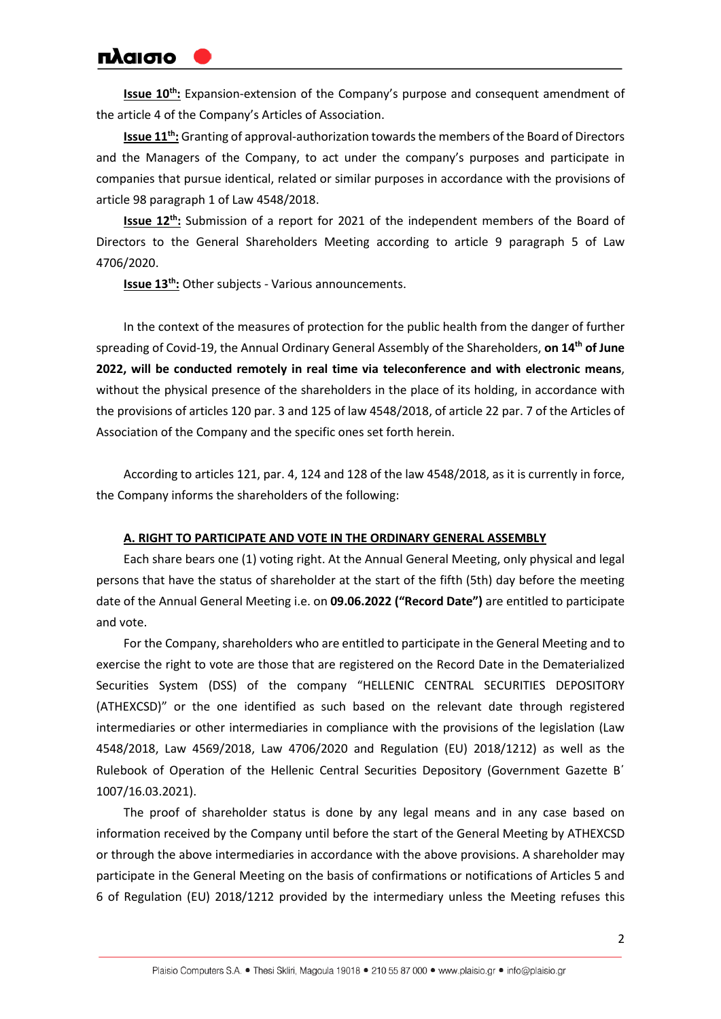**Issue 10<sup>th</sup>**: Expansion-extension of the Company's purpose and consequent amendment of the article 4 of the Company's Articles of Association.

**Issue 11<sup>th</sup>**: Granting of approval-authorization towards the members of the Board of Directors and the Managers of the Company, to act under the company's purposes and participate in companies that pursue identical, related or similar purposes in accordance with the provisions of article 98 paragraph 1 of Law 4548/2018.

**Issue 12th:** Submission of a report for 2021 of the independent members of the Board of Directors to the General Shareholders Meeting according to article 9 paragraph 5 of Law 4706/2020.

**Issue 13th:** Other subjects - Various announcements.

In the context of the measures of protection for the public health from the danger of further spreading of Covid-19, the Annual Ordinary General Assembly of the Shareholders, **on 14th of June 2022, will be conducted remotely in real time via teleconference and with electronic means**, without the physical presence of the shareholders in the place of its holding, in accordance with the provisions of articles 120 par. 3 and 125 of law 4548/2018, of article 22 par. 7 of the Articles of Association of the Company and the specific ones set forth herein.

According to articles 121, par. 4, 124 and 128 of the law 4548/2018, as it is currently in force, the Company informs the shareholders of the following:

#### **A. RIGHT TO PARTICIPATE AND VOTE IN THE ORDINARY GENERAL ASSEMBLY**

Each share bears one (1) voting right. At the Annual General Meeting, only physical and legal persons that have the status of shareholder at the start of the fifth (5th) day before the meeting date of the Annual General Meeting i.e. on **09.06.2022 ("Record Date")** are entitled to participate and vote.

For the Company, shareholders who are entitled to participate in the General Meeting and to exercise the right to vote are those that are registered on the Record Date in the Dematerialized Securities System (DSS) of the company "HELLENIC CENTRAL SECURITIES DEPOSITORY (ATHEXCSD)" or the one identified as such based on the relevant date through registered intermediaries or other intermediaries in compliance with the provisions of the legislation (Law 4548/2018, Law 4569/2018, Law 4706/2020 and Regulation (EU) 2018/1212) as well as the Rulebook of Operation of the Hellenic Central Securities Depository (Government Gazette Β΄ 1007/16.03.2021).

The proof of shareholder status is done by any legal means and in any case based on information received by the Company until before the start of the General Meeting by ATHEXCSD or through the above intermediaries in accordance with the above provisions. A shareholder may participate in the General Meeting on the basis of confirmations or notifications of Articles 5 and 6 of Regulation (EU) 2018/1212 provided by the intermediary unless the Meeting refuses this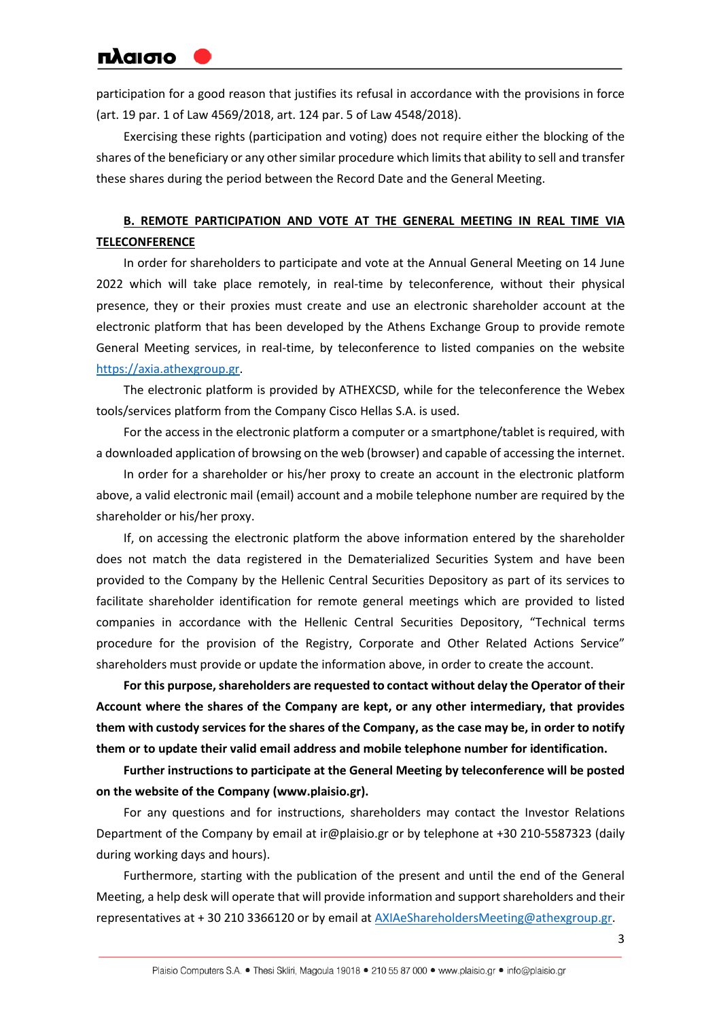participation for a good reason that justifies its refusal in accordance with the provisions in force (art. 19 par. 1 of Law 4569/2018, art. 124 par. 5 of Law 4548/2018).

Exercising these rights (participation and voting) does not require either the blocking of the shares of the beneficiary or any other similar procedure which limits that ability to sell and transfer these shares during the period between the Record Date and the General Meeting.

### **B. REMOTE PARTICIPATION AND VOTE AT THE GENERAL MEETING IN REAL TIME VIA TELECONFERENCE**

In order for shareholders to participate and vote at the Annual General Meeting on 14 June 2022 which will take place remotely, in real-time by teleconference, without their physical presence, they or their proxies must create and use an electronic shareholder account at the electronic platform that has been developed by the Athens Exchange Group to provide remote General Meeting services, in real-time, by teleconference to listed companies on the website [https://axia.athexgroup.gr.](https://axia.athexgroup.gr/)

The electronic platform is provided by ATHEXCSD, while for the teleconference the Webex tools/services platform from the Company Cisco Hellas S.A. is used.

For the access in the electronic platform a computer or a smartphone/tablet is required, with a downloaded application of browsing on the web (browser) and capable of accessing the internet.

In order for a shareholder or his/her proxy to create an account in the electronic platform above, a valid electronic mail (email) account and a mobile telephone number are required by the shareholder or his/her proxy.

If, on accessing the electronic platform the above information entered by the shareholder does not match the data registered in the Dematerialized Securities System and have been provided to the Company by the Hellenic Central Securities Depository as part of its services to facilitate shareholder identification for remote general meetings which are provided to listed companies in accordance with the Hellenic Central Securities Depository, "Technical terms procedure for the provision of the Registry, Corporate and Other Related Actions Service" shareholders must provide or update the information above, in order to create the account.

**For this purpose, shareholders are requested to contact without delay the Operator of their Account where the shares of the Company are kept, or any other intermediary, that provides them with custody services for the shares of the Company, as the case may be, in order to notify them or to update their valid email address and mobile telephone number for identification.**

**Further instructions to participate at the General Meeting by teleconference will be posted on the website of the Company (www.plaisio.gr).**

For any questions and for instructions, shareholders may contact the Investor Relations Department of the Company by email at ir@plaisio.gr or by telephone at +30 210-5587323 (daily during working days and hours).

Furthermore, starting with the publication of the present and until the end of the General Meeting, a help desk will operate that will provide information and support shareholders and their representatives at + 30 210 3366120 or by email a[t AXIAeShareholdersMeeting@athexgroup.gr.](mailto:AXIAeShareholdersMeeting@athexgroup.gr)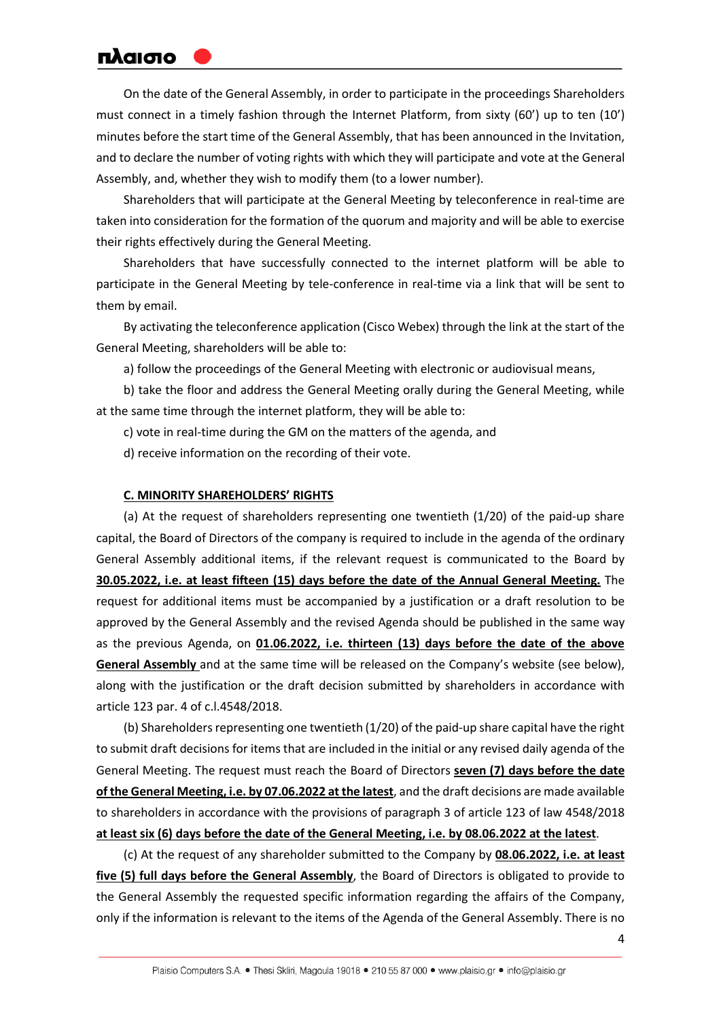On the date of the General Assembly, in order to participate in the proceedings Shareholders must connect in a timely fashion through the Internet Platform, from sixty (60') up to ten (10') minutes before the start time of the General Assembly, that has been announced in the Invitation, and to declare the number of voting rights with which they will participate and vote at the General Assembly, and, whether they wish to modify them (to a lower number).

Shareholders that will participate at the General Meeting by teleconference in real-time are taken into consideration for the formation of the quorum and majority and will be able to exercise their rights effectively during the General Meeting.

Shareholders that have successfully connected to the internet platform will be able to participate in the General Meeting by tele-conference in real-time via a link that will be sent to them by email.

By activating the teleconference application (Cisco Webex) through the link at the start of the General Meeting, shareholders will be able to:

a) follow the proceedings of the General Meeting with electronic or audiovisual means,

b) take the floor and address the General Meeting orally during the General Meeting, while at the same time through the internet platform, they will be able to:

c) vote in real-time during the GM on the matters of the agenda, and

d) receive information on the recording of their vote.

#### **C. MINORITY SHAREHOLDERS' RIGHTS**

(a) At the request of shareholders representing one twentieth (1/20) of the paid-up share capital, the Board of Directors of the company is required to include in the agenda of the ordinary General Assembly additional items, if the relevant request is communicated to the Board by **30.05.2022, i.e. at least fifteen (15) days before the date of the Annual General Meeting.** The request for additional items must be accompanied by a justification or a draft resolution to be approved by the General Assembly and the revised Agenda should be published in the same way as the previous Agenda, on **01.06.2022, i.e. thirteen (13) days before the date of the above General Assembly** and at the same time will be released on the Company's website (see below), along with the justification or the draft decision submitted by shareholders in accordance with article 123 par. 4 of c.l.4548/2018.

(b) Shareholders representing one twentieth (1/20) of the paid-up share capital have the right to submit draft decisions for items that are included in the initial or any revised daily agenda of the General Meeting. The request must reach the Board of Directors **seven (7) days before the date of the General Meeting, i.e. by 07.06.2022 at the latest**, and the draft decisions are made available to shareholders in accordance with the provisions of paragraph 3 of article 123 of law 4548/2018 **at least six (6) days before the date of the General Meeting, i.e. by 08.06.2022 at the latest**.

(c) At the request of any shareholder submitted to the Company by **08.06.2022, i.e. at least five (5) full days before the General Assembly**, the Board of Directors is obligated to provide to the General Assembly the requested specific information regarding the affairs of the Company, only if the information is relevant to the items of the Agenda of the General Assembly. There is no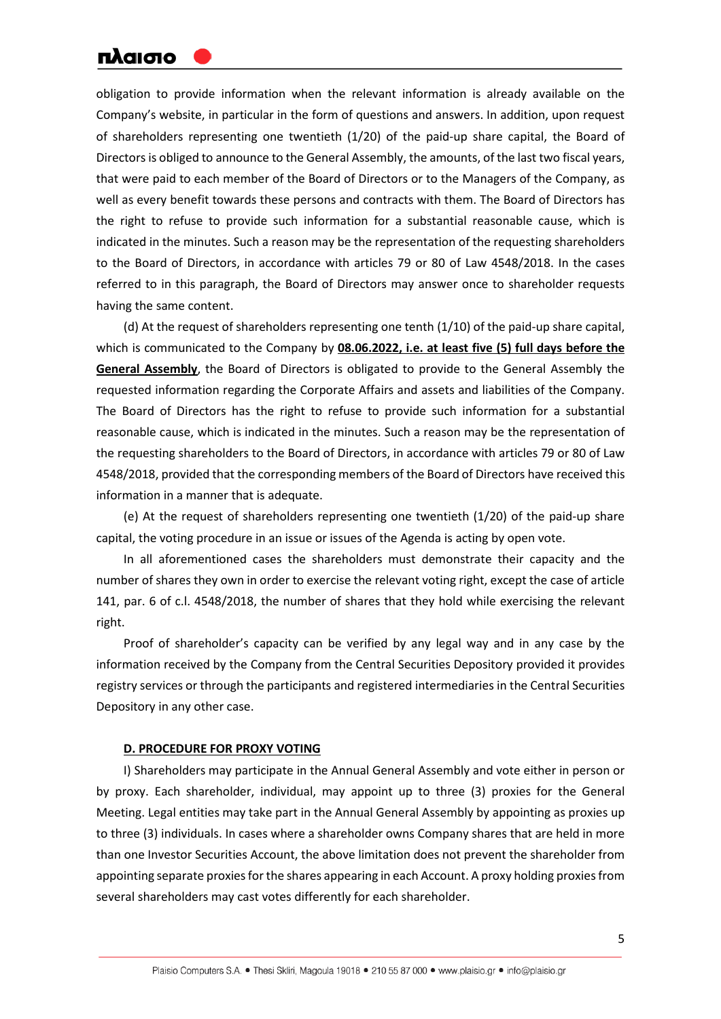obligation to provide information when the relevant information is already available on the Company's website, in particular in the form of questions and answers. In addition, upon request of shareholders representing one twentieth (1/20) of the paid-up share capital, the Board of Directors is obliged to announce to the General Assembly, the amounts, of the last two fiscal years, that were paid to each member of the Board of Directors or to the Managers of the Company, as well as every benefit towards these persons and contracts with them. The Board of Directors has the right to refuse to provide such information for a substantial reasonable cause, which is indicated in the minutes. Such a reason may be the representation of the requesting shareholders to the Board of Directors, in accordance with articles 79 or 80 of Law 4548/2018. In the cases referred to in this paragraph, the Board of Directors may answer once to shareholder requests having the same content.

(d) At the request of shareholders representing one tenth (1/10) of the paid-up share capital, which is communicated to the Company by **08.06.2022, i.e. at least five (5) full days before the General Assembly**, the Board of Directors is obligated to provide to the General Assembly the requested information regarding the Corporate Affairs and assets and liabilities of the Company. The Board of Directors has the right to refuse to provide such information for a substantial reasonable cause, which is indicated in the minutes. Such a reason may be the representation of the requesting shareholders to the Board of Directors, in accordance with articles 79 or 80 of Law 4548/2018, provided that the corresponding members of the Board of Directors have received this information in a manner that is adequate.

(e) At the request of shareholders representing one twentieth (1/20) of the paid-up share capital, the voting procedure in an issue or issues of the Agenda is acting by open vote.

In all aforementioned cases the shareholders must demonstrate their capacity and the number of shares they own in order to exercise the relevant voting right, except the case of article 141, par. 6 of c.l. 4548/2018, the number of shares that they hold while exercising the relevant right.

Proof of shareholder's capacity can be verified by any legal way and in any case by the information received by the Company from the Central Securities Depository provided it provides registry services or through the participants and registered intermediaries in the Central Securities Depository in any other case.

### **D. PROCEDURE FOR PROXY VOTING**

I) Shareholders may participate in the Annual General Assembly and vote either in person or by proxy. Each shareholder, individual, may appoint up to three (3) proxies for the General Meeting. Legal entities may take part in the Annual General Assembly by appointing as proxies up to three (3) individuals. In cases where a shareholder owns Company shares that are held in more than one Investor Securities Account, the above limitation does not prevent the shareholder from appointing separate proxies for the shares appearing in each Account. A proxy holding proxies from several shareholders may cast votes differently for each shareholder.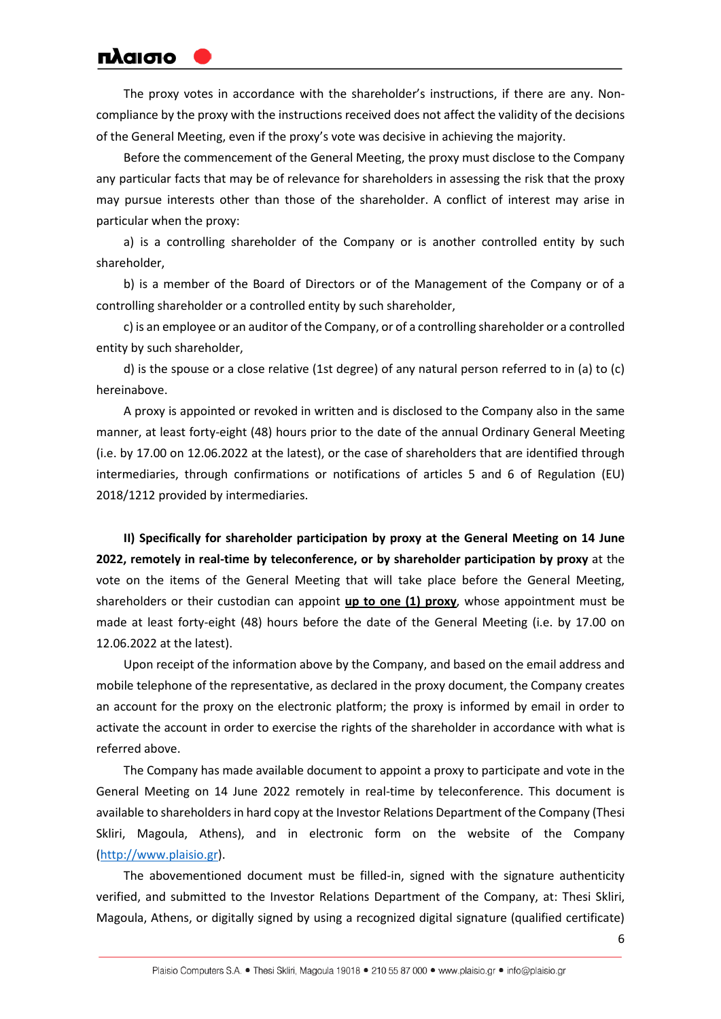The proxy votes in accordance with the shareholder's instructions, if there are any. Noncompliance by the proxy with the instructions received does not affect the validity of the decisions of the General Meeting, even if the proxy's vote was decisive in achieving the majority.

Before the commencement of the General Meeting, the proxy must disclose to the Company any particular facts that may be of relevance for shareholders in assessing the risk that the proxy may pursue interests other than those of the shareholder. A conflict of interest may arise in particular when the proxy:

a) is a controlling shareholder of the Company or is another controlled entity by such shareholder,

b) is a member of the Board of Directors or of the Management of the Company or of a controlling shareholder or a controlled entity by such shareholder,

c) is an employee or an auditor of the Company, or of a controlling shareholder or a controlled entity by such shareholder,

d) is the spouse or a close relative (1st degree) of any natural person referred to in (a) to (c) hereinabove.

A proxy is appointed or revoked in written and is disclosed to the Company also in the same manner, at least forty-eight (48) hours prior to the date of the annual Ordinary General Meeting (i.e. by 17.00 on 12.06.2022 at the latest), or the case of shareholders that are identified through intermediaries, through confirmations or notifications of articles 5 and 6 of Regulation (EU) 2018/1212 provided by intermediaries.

**ΙΙ) Specifically for shareholder participation by proxy at the General Meeting on 14 June 2022, remotely in real-time by teleconference, or by shareholder participation by proxy** at the vote on the items of the General Meeting that will take place before the General Meeting, shareholders or their custodian can appoint **up to one (1) proxy**, whose appointment must be made at least forty-eight (48) hours before the date of the General Meeting (i.e. by 17.00 on 12.06.2022 at the latest).

Upon receipt of the information above by the Company, and based on the email address and mobile telephone of the representative, as declared in the proxy document, the Company creates an account for the proxy on the electronic platform; the proxy is informed by email in order to activate the account in order to exercise the rights of the shareholder in accordance with what is referred above.

The Company has made available document to appoint a proxy to participate and vote in the General Meeting on 14 June 2022 remotely in real-time by teleconference. This document is available to shareholders in hard copy at the Investor Relations Department of the Company (Thesi Skliri, Magoula, Athens), and in electronic form on the website of the Company [\(http://www.plaisio.gr\)](http://www.plaisio.gr/).

The abovementioned document must be filled-in, signed with the signature authenticity verified, and submitted to the Investor Relations Department of the Company, at: Thesi Skliri, Magoula, Athens, or digitally signed by using a recognized digital signature (qualified certificate)